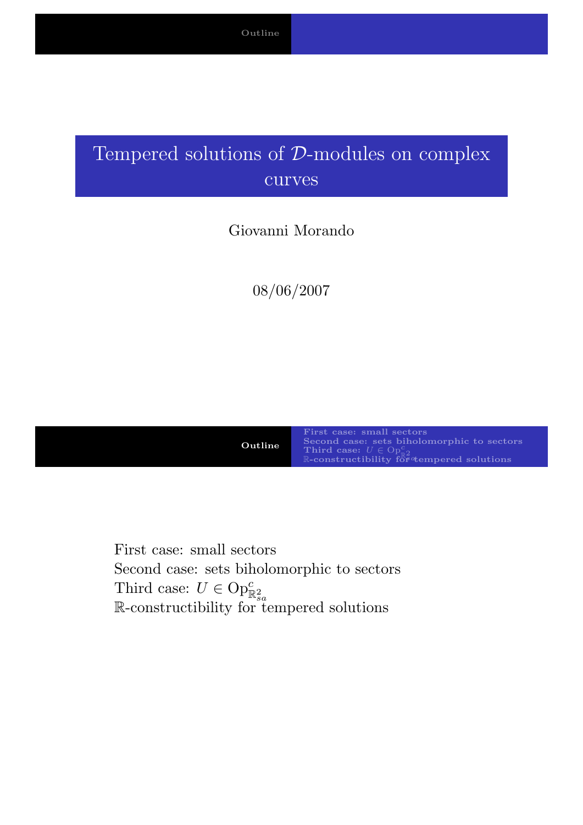### Tempered solutions of D-modules on complex curves

#### Giovanni Morando

08/06/2007

Outline

First case: small sectors Second case: sets biholomorphic to sectors<br>Third case:  $U \in \text{Op}^c_{\mathbb{R}2}$ <br>R-constructibility for tempered solutions

<span id="page-0-0"></span>First case: small sectors [Second ca](#page-0-0)[se: sets biholomorphic to s](#page-11-0)ectors Third case:  $U \in \text{Op}^c_{\mathbb{R}^2_{sa}}$  $U \in \text{Op}^c_{\mathbb{R}^2_{sa}}$  $U \in \text{Op}^c_{\mathbb{R}^2_{sa}}$ <br>R-constructibility for tempered solutions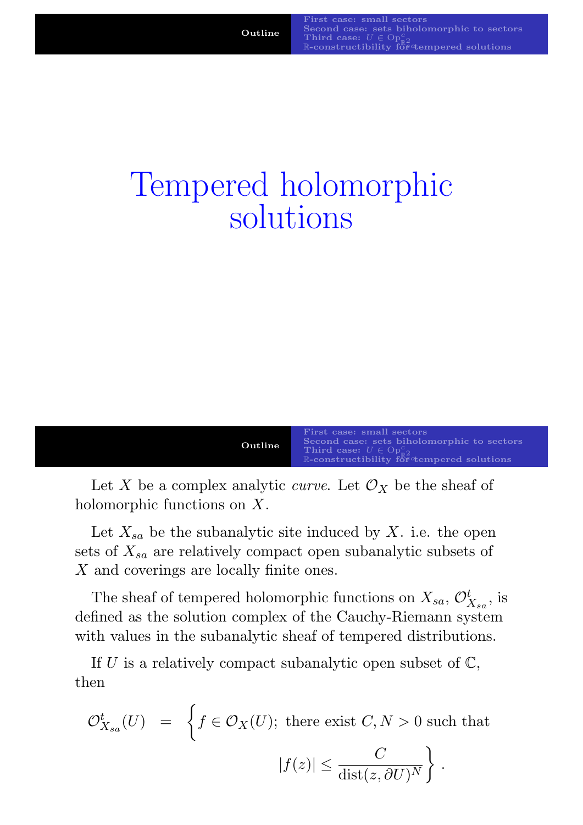## Tempered holomorphic solutions

| First case: small sectors                  |                                                |
|--------------------------------------------|------------------------------------------------|
| Second case: sets biholomorphic to sectors |                                                |
| Outline                                    | Third case: $U \in \text{Op}_{\mathbb{R}^2}^c$ |
| Reconstructibility for 4                   |                                                |

Let X be a complex analytic *curve*. Let  $\mathcal{O}_X$  be the sheaf of holomorphic functions on X.

Let  $X_{sa}$  be the subanalytic site induced by X. i.e. the open sets of  $X_{sa}$  are relatively compact open subanalytic subsets of X [and covering](#page-0-0)[s](#page-11-0)[are](#page-11-0)[locally](#page-11-0)[finite](#page-11-0)[ones.](#page-11-0)

The sheaf of tempered holomorphic functions on  $X_{sa}$ ,  $\mathcal{O}_{X_{sa}}^t$ , is defined as the solution complex of the Cauchy-Riemann system with values in the subanalytic sheaf of tempered distributions.

If U is a relatively compact subanalytic open subset of  $\mathbb{C}$ , then

$$
\mathcal{O}_{X_{sa}}^t(U) = \left\{ f \in \mathcal{O}_X(U); \text{ there exist } C, N > 0 \text{ such that} \right\}
$$

$$
|f(z)| \le \frac{C}{\text{dist}(z, \partial U)^N} \right\}.
$$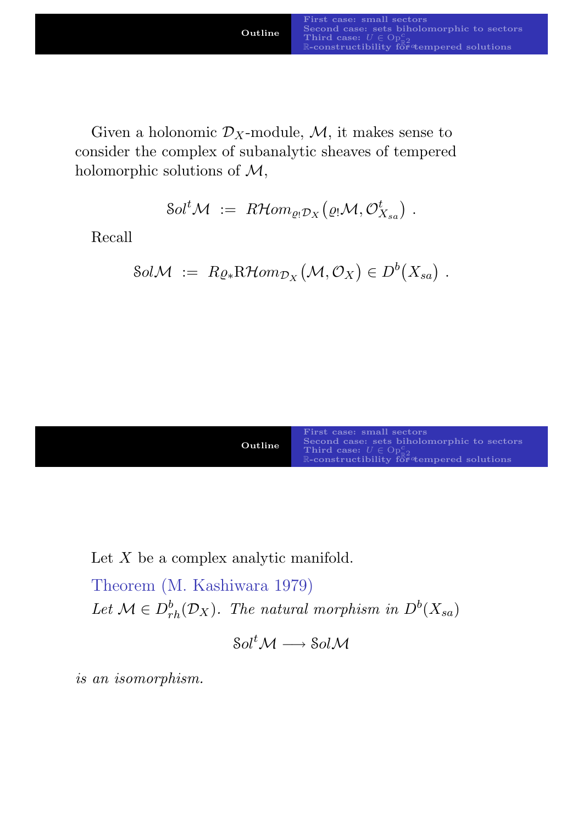Given a holonomic  $\mathcal{D}_X$ -module, M, it makes sense to consider the complex of subanalytic sheaves of tempered holomorphic solutions of  $M$ ,

 $\mathcal{S}ol^t\mathcal{M} \;:=\; R\mathcal{H}om_{\varrho_!\mathcal{D}_X}\big(\varrho_!\mathcal{M}, \mathcal{O}^t_{X_{sa}}\big)\;.$ 

Recall

$$
SolM := R \varrho_* \mathrm{R} \mathcal{H} \text{om}_{\mathcal{D}_X} (\mathcal{M}, \mathcal{O}_X) \in D^b(X_{sa}) \ .
$$

| Outline | First case: small sectors<br>Second case: sets biholomorphic to sectors<br>Third case: $U \in \text{Op}^c_{\pi^0}$<br>R-constructibility for tempered solutions |
|---------|-----------------------------------------------------------------------------------------------------------------------------------------------------------------|
|---------|-----------------------------------------------------------------------------------------------------------------------------------------------------------------|

Let  $X$  be a [complex analytic manifold.](#page-10-0)

Theorem ([M. Kashiwara 1979\)](#page-14-0) Let  $\mathcal{M} \in D_{rh}^b(\mathcal{D}_X)$ . The natural morphism in  $D^b(X_{sa})$ 

 $Sol<sup>t</sup>M \longrightarrow SolM$ 

is an isomorphism.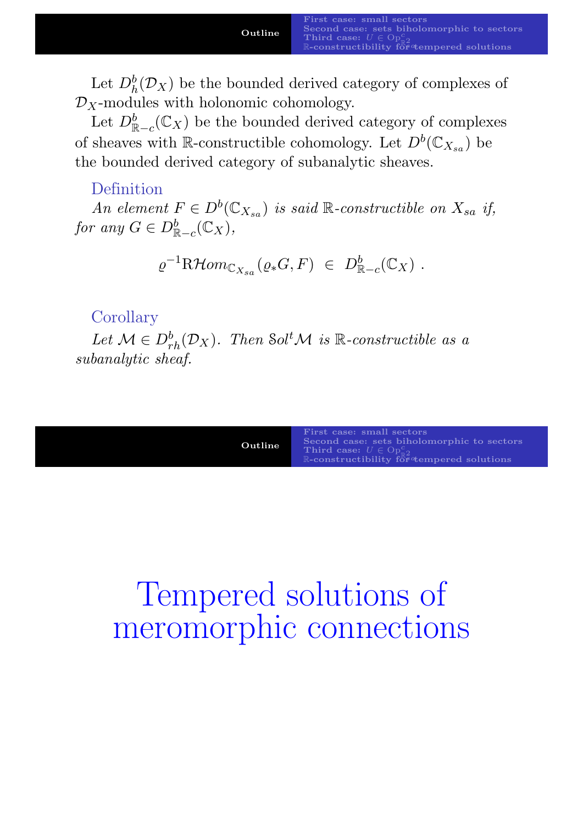Let  $D_h^b(\mathcal{D}_X)$  be the bounded derived category of complexes of  $\mathcal{D}_X$ -modules with holonomic cohomology.

Let  $D_{\mathbb{R}-c}^b(\mathbb{C}_X)$  be the bounded derived category of complexes of sheaves with R-constructible cohomology. Let  $D^b(\mathbb{C}_{X_{sa}})$  be the bounded derived category of subanalytic sheaves.

#### Definition

An element  $F \in D^b(\mathbb{C}_{X_{sa}})$  is said  $\mathbb{R}$ -constructible on  $X_{sa}$  if, for any  $G \in D^b_{\mathbb{R}-c}(\mathbb{C}_X)$ ,

$$
\varrho^{-1} \mathrm{R}\mathcal{H}om_{\mathbb{C}_{X_{sa}}}(\varrho_*G, F) \in D^b_{\mathbb{R}-c}(\mathbb{C}_X) .
$$

#### **Corollary**

Let  $\mathcal{M} \in D_{rh}^b(\mathcal{D}_X)$ . Then Sol<sup>t</sup> $\mathcal{M}$  is R-constructible as a subanalytic sheaf.

| First case: small sectors<br>Second case: sets biholomorphic to sectors<br>Outline<br>Third case: $U \in \text{Op}^c_{\text{eq}}$<br>$\mathbb{R}$ -constructibility for the motor solutions |  |
|---------------------------------------------------------------------------------------------------------------------------------------------------------------------------------------------|--|
|---------------------------------------------------------------------------------------------------------------------------------------------------------------------------------------------|--|

# Te[mpered](#page-14-0) [soluti](#page-14-0)ons of meromorphic connections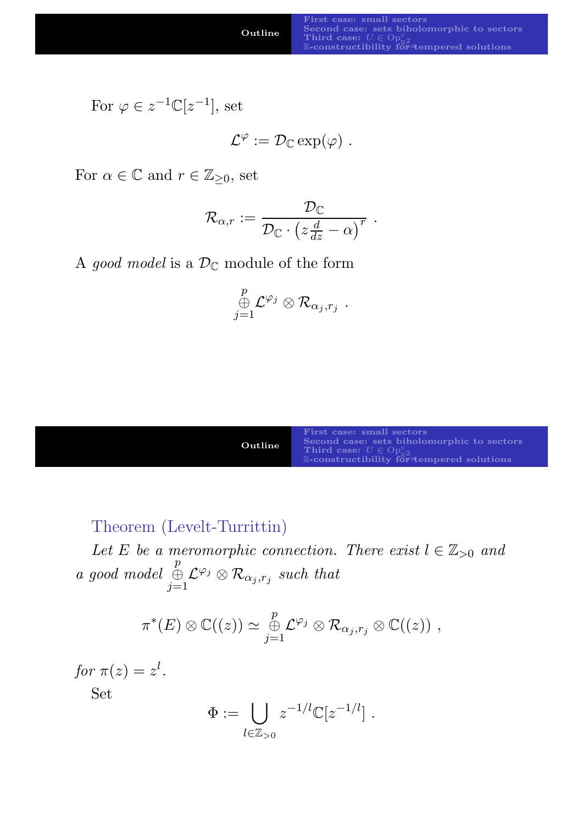For 
$$
\varphi \in z^{-1} \mathbb{C}[z^{-1}],
$$
 set

$$
\mathcal{L}^{\varphi} := \mathcal{D}_{\mathbb{C}} \exp(\varphi) \; .
$$

For  $\alpha \in \mathbb{C}$  and  $r \in \mathbb{Z}_{\geq 0}$ , set

$$
\mathcal{R}_{\alpha,r}:=\frac{\mathcal{D}_{\mathbb{C}}}{\mathcal{D}_{\mathbb{C}}\cdot\left(z\frac{d}{dz}-\alpha\right)^r}\;.
$$

A good model is a  $\mathcal{D}_{\mathbb{C}}$  module of the form

$$
\mathop \oplus \limits_{j=1}^p {\mathcal L}^{\varphi_j} \otimes {\mathcal R}_{\alpha_j, r_j} \;.
$$

| Outline | First case: small sectors<br>Second case: sets biholomorphic to sectors<br>Third case: $U \in \text{Op}^c_{\pi^0}$<br>R-constructibility for tempered solutions |
|---------|-----------------------------------------------------------------------------------------------------------------------------------------------------------------|
|---------|-----------------------------------------------------------------------------------------------------------------------------------------------------------------|

Theorem (Levelt-Turrittin)

Let E be a meromorphic connection. There exist  $l \in \mathbb{Z}_{>0}$  and [a good model](#page-0-0) [p](#page-10-0) ⊕  $j=1$  $\mathcal{L}^{\varphi_j} \otimes \mathcal{R}_{\alpha_j,r_j}$  [such that](#page-12-0)

$$
\pi^*(E) \otimes \mathbb{C}((z)) \simeq \underset{j=1}{\overset{p}{\oplus}} \mathcal{L}^{\varphi_j} \otimes \mathcal{R}_{\alpha_j,r_j} \otimes \mathbb{C}((z)) ,
$$

for  $\pi(z) = z^l$ .

Set

$$
\Phi := \bigcup_{l \in \mathbb{Z}_{>0}} z^{-1/l} \mathbb{C}[z^{-1/l}] \ .
$$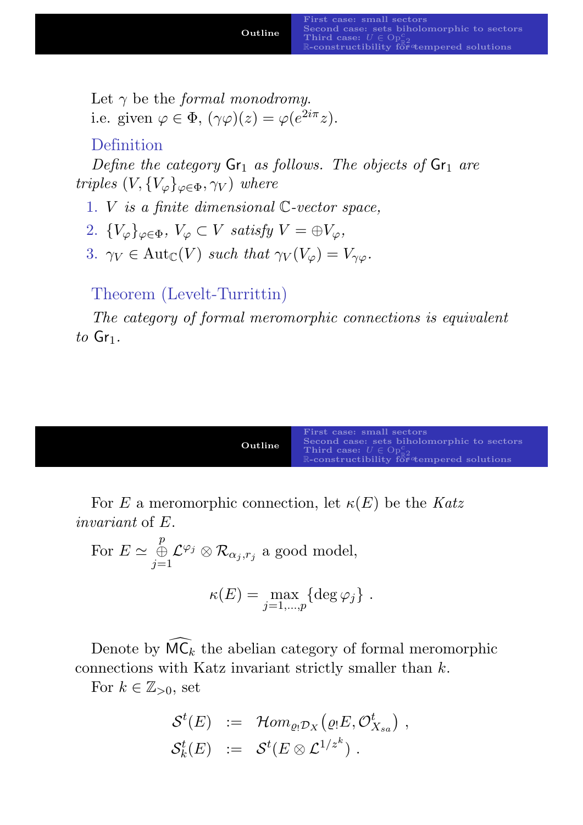Let  $\gamma$  be the *formal monodromy*. i.e. given  $\varphi \in \Phi$ ,  $(\gamma \varphi)(z) = \varphi(e^{2i\pi}z)$ .

#### Definition

Define the category  $Gr_1$  as follows. The objects of  $Gr_1$  are triples  $(V, \{V_{\varphi}\}_{\varphi \in \Phi}, \gamma_V)$  where

- 1. V is a finite dimensional C-vector space,
- 2.  $\{V_{\varphi}\}_{\varphi \in \Phi}$ ,  $V_{\varphi} \subset V$  satisfy  $V = \bigoplus V_{\varphi}$ ,
- 3.  $\gamma_V \in \text{Aut}_{\mathbb{C}}(V)$  such that  $\gamma_V(V_\varphi) = V_{\gamma\varphi}$ .

Theorem (Levelt-Turrittin)

The category of formal meromorphic connections is equivalent to  $Gr_1$ .



For E a meromorphic connection, let  $\kappa(E)$  be the Katz invariant of E.

For 
$$
E \simeq \bigoplus_{j=1}^p \mathcal{L}^{\varphi_j} \otimes \mathcal{R}_{\alpha_j,r_j}
$$
 a good model,  

$$
\kappa(E) = \max_{j=1,\dots,p} \{ \deg \varphi_j \} .
$$

Denote by  $\widehat{MC}_k$  the abelian category of formal meromorphic connections with Katz invariant strictly smaller than  $k$ .

For  $k \in \mathbb{Z}_{>0}$ , set

$$
\begin{array}{rcl} \mathcal{S}^t(E) & := & \mathcal{H}om_{\varrho_!\mathcal{D}_X}\big(\varrho_!\!\!\!E, \mathcal{O}^t_{X_{sa}}\big) \ , \\ \mathcal{S}^t_k(E) & := & \mathcal{S}^t(E\otimes \mathcal{L}^{1/z^k}) \ . \end{array}
$$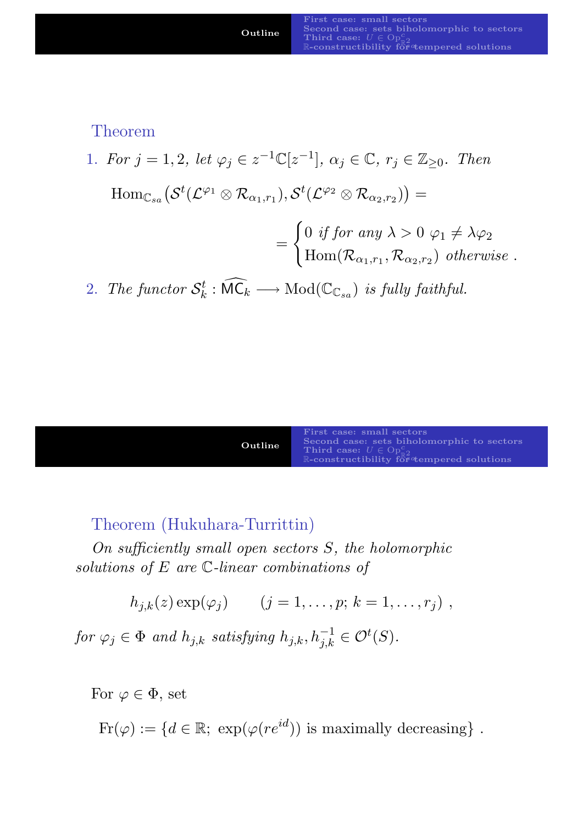Theorem

1. For  $j = 1, 2$ , let  $\varphi_j \in z^{-1} \mathbb{C}[z^{-1}], \alpha_j \in \mathbb{C}, r_j \in \mathbb{Z}_{\geq 0}$ . Then  $\text{Hom}_{\mathbb{C}_{sa}}\big(\mathcal{S}^{t}(\mathcal{L}^{\varphi_1}\otimes\mathcal{R}_{\alpha_1,r_1}),\mathcal{S}^{t}(\mathcal{L}^{\varphi_2}\otimes\mathcal{R}_{\alpha_2,r_2})\big)=$ =  $\int 0$  if for any  $\lambda > 0$   $\varphi_1 \neq \lambda \varphi_2$  $\text{Hom}(\mathcal{R}_{\alpha_1,r_1},\mathcal{R}_{\alpha_2,r_2})$  otherwise . 2. The functor  $\mathcal{S}_k^t$  $k_t^t : \widehat{\mathsf{MC}}_k \longrightarrow \mathrm{Mod}(\mathbb{C}_{\mathbb{C}_{sa}})$  is fully faithful.

| Outline | First case: small sectors<br>Second case: sets biholomorphic to sectors<br>Third case: $U \in \text{Op}^c_{\pi^0}$<br>R-constructibility for tempered solutions |
|---------|-----------------------------------------------------------------------------------------------------------------------------------------------------------------|
|---------|-----------------------------------------------------------------------------------------------------------------------------------------------------------------|

#### Theorem (Hukuhara-Turrittin)

On sufficiently small open sectors S, the holomorphic [solutions of](#page-0-0) E are C[-linear combinations o](#page-11-0)f

$$
h_{j,k}(z) \exp(\varphi_j) \qquad (j=1,\ldots,p; k=1,\ldots,r_j) ,
$$

for  $\varphi_j \in \Phi$  and  $h_{j,k}$  satisfying  $h_{j,k}, h_{j,k}^{-1} \in \mathcal{O}^t(S)$ .

For  $\varphi \in \Phi$ , set

 $Fr(\varphi) := \{ d \in \mathbb{R}; \ \exp(\varphi(re^{id})) \text{ is maximally decreasing } \}.$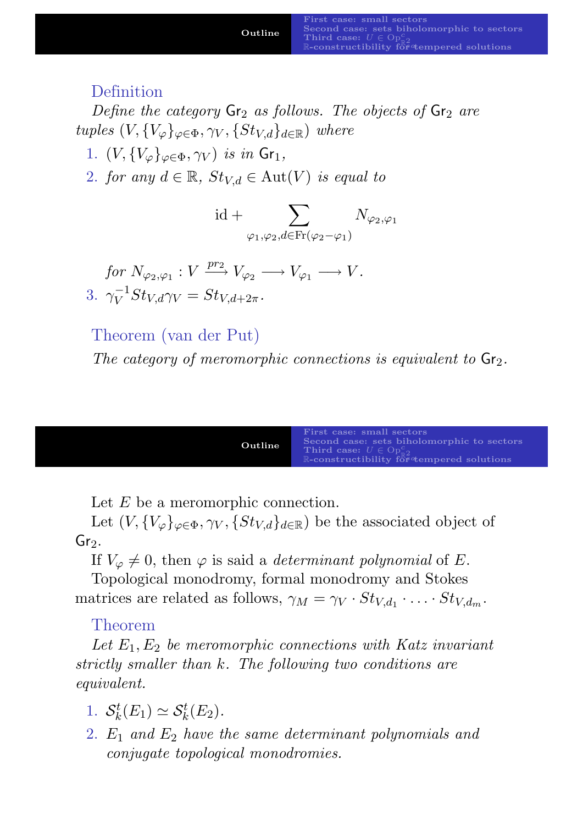#### Definition

Define the category  $Gr_2$  as follows. The objects of  $Gr_2$  are tuples  $(V, \{V_{\varphi}\}_{\varphi \in \Phi}, \gamma_V, \{St_{V,d}\}_{d \in \mathbb{R}})$  where

- 1.  $(V, \{V_{\varphi}\}_{\varphi \in \Phi}, \gamma_V)$  is in  $\mathsf{Gr}_1$ ,
- 2. for any  $d \in \mathbb{R}$ ,  $St_{V,d} \in \text{Aut}(V)$  is equal to

$$
id + \sum_{\varphi_1, \varphi_2, d \in Fr(\varphi_2 - \varphi_1)} N_{\varphi_2, \varphi_1}
$$

for  $N_{\varphi_2,\varphi_1}: V \xrightarrow{pr_2} V_{\varphi_2} \longrightarrow V_{\varphi_1} \longrightarrow V.$ 3.  $\gamma_V^{-1}$  $V_V^{-1}St_{V,d}\gamma_V=St_{V,d+2\pi}.$ 

#### Theorem (van der Put)

The category of meromorphic connections is equivalent to  $\mathsf{Gr}_2$ .

| Outline | <b>First case: small sectors</b><br>Second case: sets biholomorphic to sectors<br>Third case: $U \in \text{Op}^c_{\pi^0}$<br>R-constructibility for tempered solutions |
|---------|------------------------------------------------------------------------------------------------------------------------------------------------------------------------|
|---------|------------------------------------------------------------------------------------------------------------------------------------------------------------------------|

Let  $E$  be a meromorphic connection.

Let  $(V, \{V_{\varphi}\}_{\varphi \in \Phi}, \gamma_V, \{St_{V,d}\}_{d \in \mathbb{R}})$  be the associated object of  $Gr<sub>2</sub>$ .

If  $V_{\varphi} \neq 0$ , then  $\varphi$  is said a *[determinant](#page-10-0) polynomial* of E.

[Topological](#page-0-0) [monodromy,](#page-12-0)[formal](#page-12-0)[monodr](#page-12-0)omy and Stokes matrices are related as follows,  $\gamma_M = \gamma_V \cdot St_{V,d_1} \cdot \ldots \cdot St_{V,d_m}$ .

#### Theorem

Let  $E_1, E_2$  be meromorphic connections with Katz invariant strictly smaller than k. The following two conditions are equivalent.

- 1.  $S_k^t$  $k^t(E_1) \simeq \mathcal{S}_k^t(E_2).$
- 2.  $E_1$  and  $E_2$  have the same determinant polynomials and conjugate topological monodromies.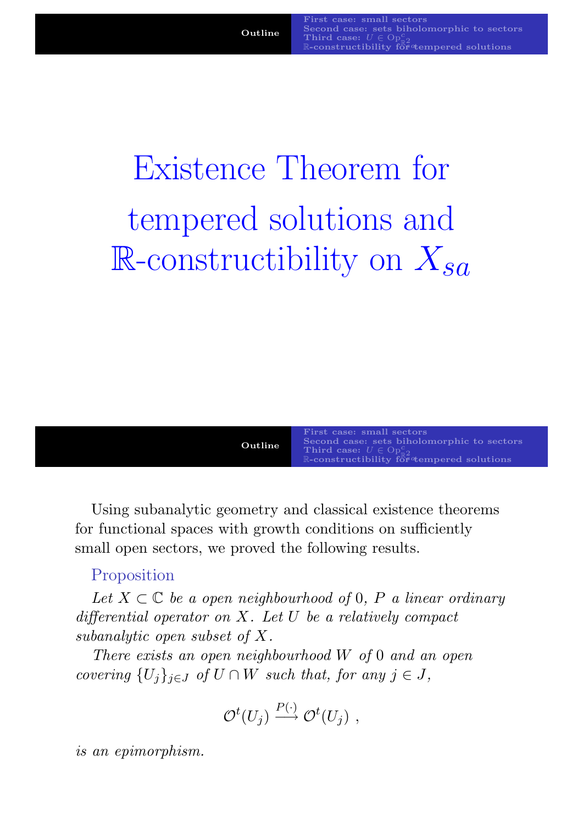# Existence Theorem for tempered solutions and R-constructibility on  $X_{sa}$



Using subanalytic geometry and classical existence theorems for functional spaces with growth conditions on sufficiently small open sectors, we proved the following results.

#### [Proposition](#page-0-0)

Let  $X \subset \mathbb{C}$  be a open neighbourhood of 0, P a linear ordinary differential operator on  $X$ . Let  $U$  be a relatively compact subanalytic open subset of X.

There exists an open neighbourhood W of 0 and an open covering  $\{U_i\}_{i\in J}$  of  $U \cap W$  such that, for any  $j \in J$ ,

$$
\mathcal{O}^t(U_j) \stackrel{P(\cdot)}{\longrightarrow} \mathcal{O}^t(U_j) ,
$$

is an epimorphism.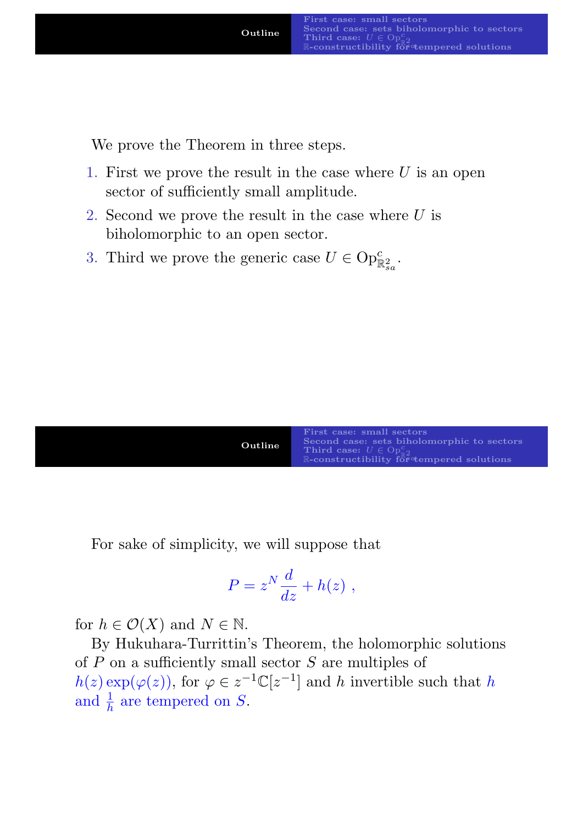We prove the Theorem in three steps.

- 1. First we prove the result in the case where  $U$  is an open sector of sufficiently small amplitude.
- 2. Second we prove the result in the case where  $U$  is biholomorphic to an open sector.
- 3. Third we prove the generic case  $U \in \text{Op}^c_{\mathbb{R}^2_{sa}}$ .

| Outline | First case: small sectors<br>Second case: sets biholomorphic to sectors<br>Third case: $U \in \text{Op}_{\text{eq}}^c$<br>R-constructibility for tempered solutions |
|---------|---------------------------------------------------------------------------------------------------------------------------------------------------------------------|
|---------|---------------------------------------------------------------------------------------------------------------------------------------------------------------------|

For sake of simplicity, we will suppose that

$$
P = z^N \frac{d}{dz} + h(z) ,
$$

for  $h \in \mathcal{O}(X)$  and  $N \in \mathbb{N}$ .

By Hukuhara-Turrittin's Theorem, the holomorphic solutions of  $P$  on a sufficiently small sector  $S$  are multiples of  $h(z) \exp(\varphi(z))$ , for  $\varphi \in z^{-1} \mathbb{C}[z^{-1}]$  and h invertible such that h and  $\frac{1}{h}$  are tempered on S.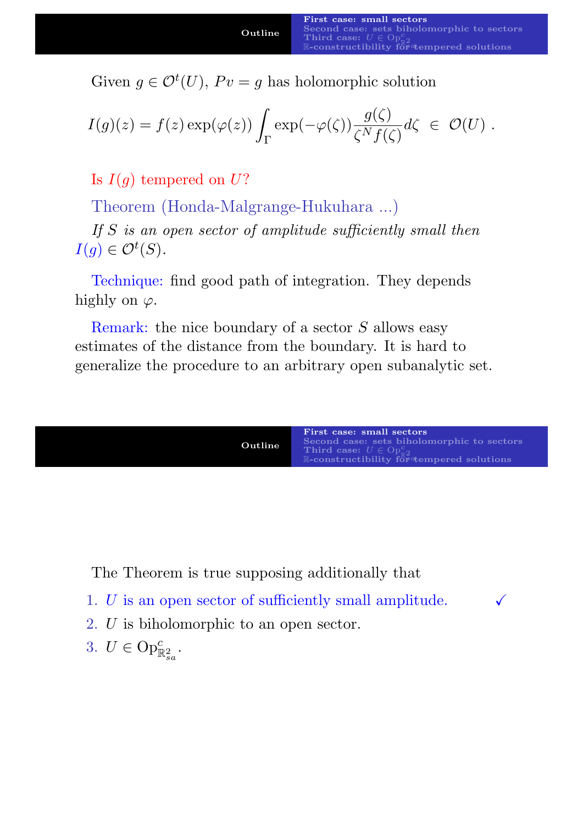Given  $g \in \mathcal{O}^t(U)$ ,  $P v = g$  has holomorphic solution

$$
I(g)(z) = f(z) \exp(\varphi(z)) \int_{\Gamma} \exp(-\varphi(\zeta)) \frac{g(\zeta)}{\zeta^N f(\zeta)} d\zeta \ \in \ \mathcal{O}(U) \ .
$$

Is  $I(q)$  tempered on U?

Theorem (Honda-Malgrange-Hukuhara ...)

If S is an open sector of amplitude sufficiently small then  $I(g) \in \mathcal{O}^t(S)$ .

Technique: find good path of integration. They depends highly on  $\varphi$ .

Remark: the nice boundary of a sector S allows easy estimates of the distance from the boundary. It is hard to generalize the procedure to an arbitrary open subanalytic set.



[The Theorem](#page-0-0) [is true supposing addition](#page-12-0)ally that

- 1. U is an open sector of sufficiently small amplitude.  $\checkmark$
- 2. U is biholomorphic to an open sector.
- <span id="page-10-0"></span>3.  $U \in \text{Op}^c_{\mathbb{R}^2_{sa}}$ .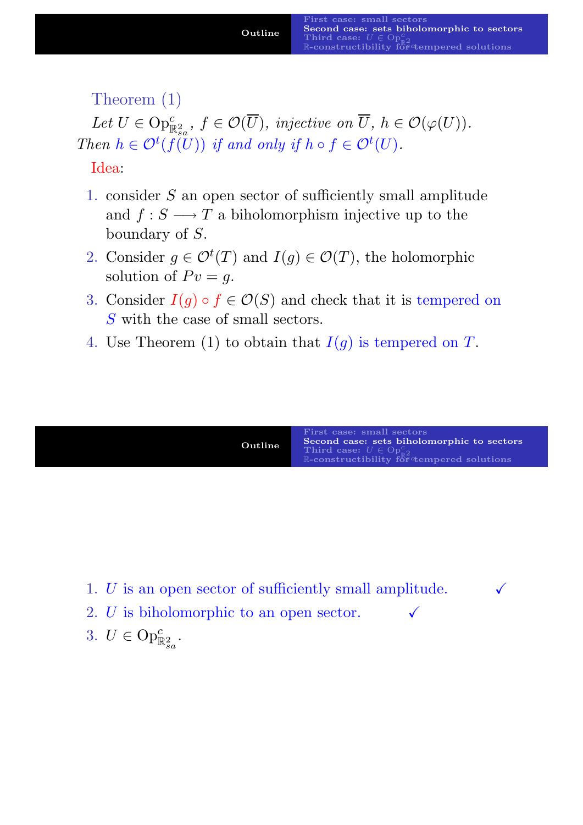Theorem (1)

Let  $U \in \text{Op}^c_{\mathbb{R}^2_{sa}}, f \in \mathcal{O}(\overline{U}),$  injective on  $\overline{U}, h \in \mathcal{O}(\varphi(U)).$ Then  $h \in \mathcal{O}^t(f(U))$  if and only if  $h \circ f \in \mathcal{O}^t(U)$ .

Idea:

- 1. consider S an open sector of sufficiently small amplitude and  $f: S \longrightarrow T$  a biholomorphism injective up to the boundary of S.
- 2. Consider  $g \in \mathcal{O}^t(T)$  and  $I(g) \in \mathcal{O}(T)$ , the holomorphic solution of  $P v = g$ .
- 3. Consider  $I(g) \circ f \in \mathcal{O}(S)$  and check that it is tempered on S with the case of small sectors.
- 4. Use Theorem (1) to obtain that  $I(g)$  is tempered on T.

| First case: small sectors<br>Second case: sets biholomorphic to sectors<br>Third case: $U \in \text{Op}_{\text{ad}}^c$<br>$\mathbb R$ -constructibility for $\alpha$ tempered solutions |
|-----------------------------------------------------------------------------------------------------------------------------------------------------------------------------------------|
|                                                                                                                                                                                         |

- 1. U is an op[en sector of sufficiently sma](#page-14-0)ll amplitude.  $\checkmark$
- 2. U is biholomorphic to an open sector.  $\checkmark$
- <span id="page-11-0"></span>3.  $U \in \text{Op}^c_{\mathbb{R}^2_{sa}}$ .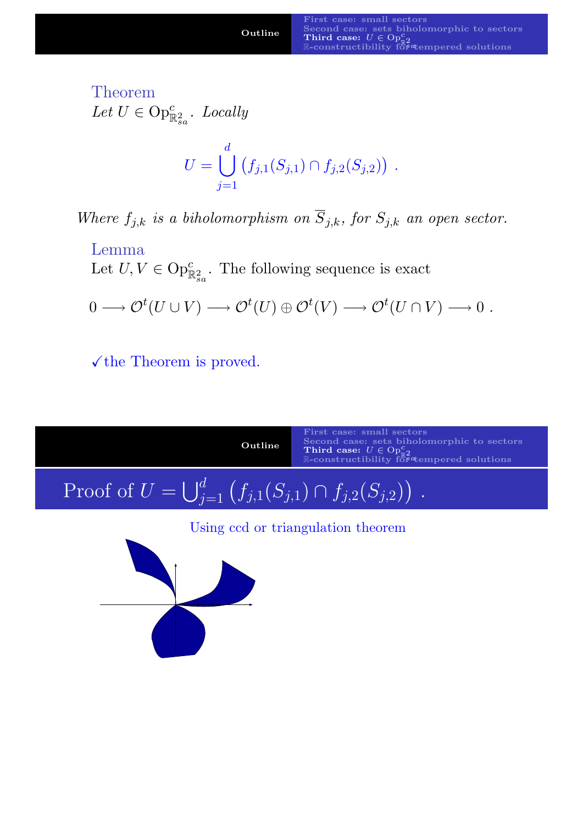Theorem Let  $U \in \text{Op}^c_{\mathbb{R}^2_{sa}}$ . Locally

$$
U = \bigcup_{j=1}^d (f_{j,1}(S_{j,1}) \cap f_{j,2}(S_{j,2})) .
$$

Where  $f_{j,k}$  is a biholomorphism on  $\overline{S}_{j,k}$ , for  $S_{j,k}$  an open sector.

Lemma Let  $U, V \in \text{Op}^c_{\mathbb{R}^2_{sa}}$ . The following sequence is exact

$$
0 \longrightarrow \mathcal{O}^t(U \cup V) \longrightarrow \mathcal{O}^t(U) \oplus \mathcal{O}^t(V) \longrightarrow \mathcal{O}^t(U \cap V) \longrightarrow 0.
$$

 $\checkmark$  the Theorem is proved.

<span id="page-12-0"></span>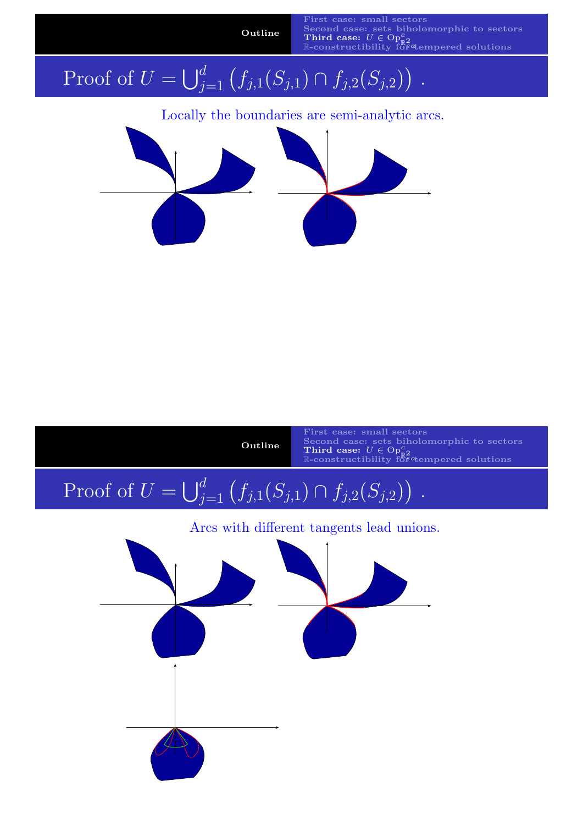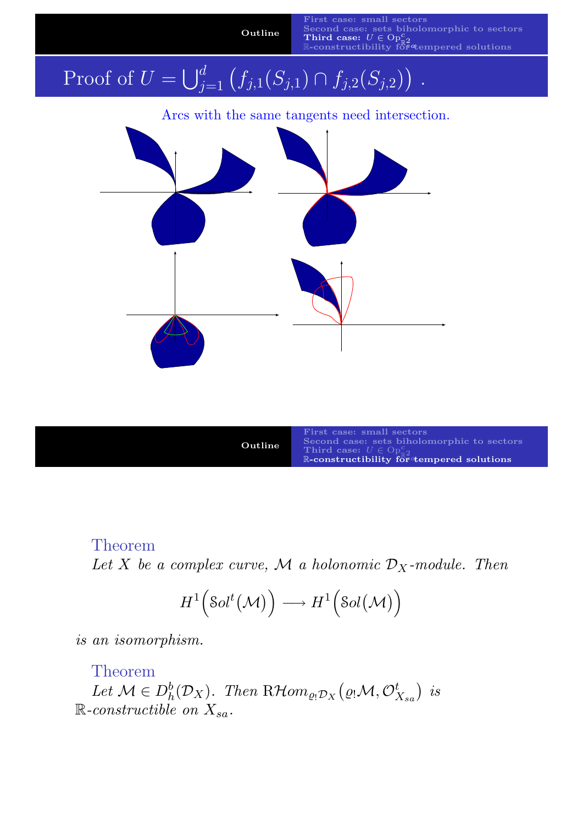

#### Theorem

Let X [be a c](#page-0-0)[omplex](#page-10-0)[curve,](#page-10-0) M a holonomic  $\mathcal{D}_X$ -module. Then

$$
H^1\Big(\text{Sol}^t\big(\mathcal{M}\big)\Big)\longrightarrow H^1\Big(\text{Sol}\big(\mathcal{M}\big)\Big)
$$

is an isomorphism.

#### Theorem

<span id="page-14-0"></span>Let  $\mathcal{M} \in D_h^b(\mathcal{D}_X)$ . Then  $R\mathcal{H}om_{\varrho_!\mathcal{D}_X}(\varrho_!\mathcal{M}, \mathcal{O}_{X_{sa}}^t)$  is  $\mathbb{R}$ -constructible on  $X_{sa}$ .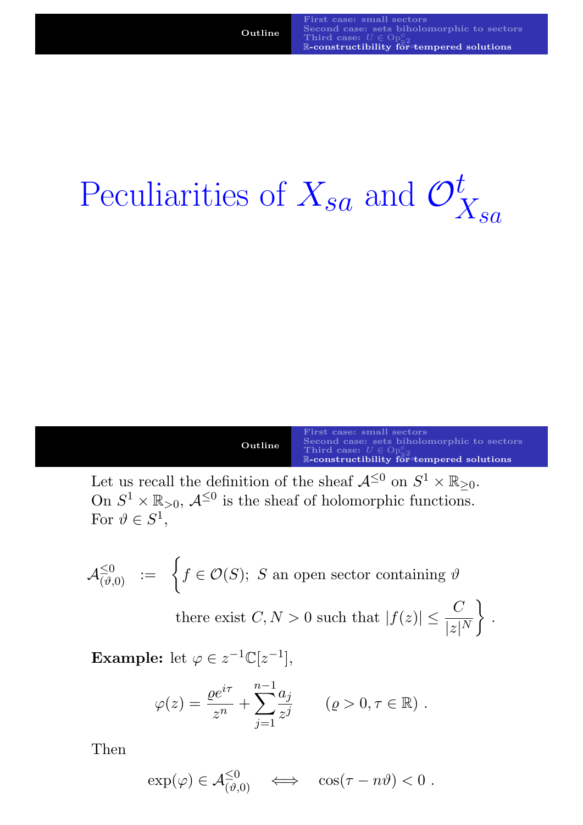## Peculiarities of  $X_{sa}$  and  $\mathcal{O}_Z^t$  $X_{sa}$

| Outline. | First case: small sectors<br>Second case: sets biholomorphic to sectors              |
|----------|--------------------------------------------------------------------------------------|
|          | Third case: $U \in \text{Op}^c_{\pi^0}$<br>R-constructibility for tempered solutions |

.

Let us recall the definition of the sheaf  $\mathcal{A}^{\leq 0}$  on  $S^1 \times \mathbb{R}_{\geq 0}$ . On  $S^1 \times \mathbb{R}_{>0}$ ,  $\mathcal{A}^{\leq 0}$  is the sheaf of holomorphic functions. For  $\vartheta \in S^1$ ,

$$
\mathcal{A}_{(\vartheta,0)}^{\leq 0} \ := \ \bigg\{ f \in \mathcal{O}(S); \ S \text{ an open sector containing } \vartheta \bigg\}
$$

there exist  $C, N > 0$  such that  $|f(z)| \leq \frac{C}{1+1}$  $|z|^N$  $\mathcal{L}$ 

**Example:** let  $\varphi \in z^{-1} \mathbb{C} [z^{-1}],$ 

$$
\varphi(z) = \frac{\varrho e^{i\tau}}{z^n} + \sum_{j=1}^{n-1} \frac{a_j}{z^j}
$$
  $(\varrho > 0, \tau \in \mathbb{R})$ .

Then

$$
\exp(\varphi) \in \mathcal{A}_{(\vartheta,0)}^{\leq 0} \quad \Longleftrightarrow \quad \cos(\tau - n\vartheta) < 0 \; .
$$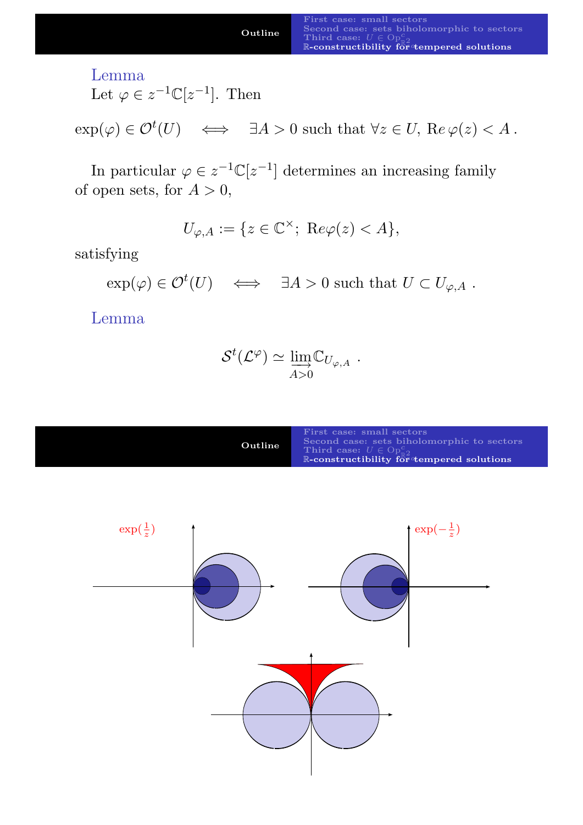case: small sectors Second case: sets biholomorphic to sectors<br>  $\mathbb{T}^{\text{hit}}$  case:  $U \in \text{Op}^c_{\mathbb{R}^2}$ R-constructibility for tempered solutions

#### Lemma

Let  $\varphi \in z^{-1} \mathbb{C}[z^{-1}]$ . Then

 $\exp(\varphi) \in \mathcal{O}^t(U) \iff \exists A > 0 \text{ such that } \forall z \in U, \text{ Re } \varphi(z) < A.$ 

In particular  $\varphi \in z^{-1} \mathbb{C}[z^{-1}]$  determines an increasing family of open sets, for  $A > 0$ ,

 $U_{\varphi,A} := \{ z \in \mathbb{C}^\times; \; \text{Re}\varphi(z) < A \},\;$ 

satisfying

 $\exp(\varphi) \in \mathcal{O}^t(U) \iff \exists A > 0 \text{ such that } U \subset U_{\varphi,A}.$ 

Lemma

$$
\mathcal{S}^t(\mathcal{L}^{\varphi}) \simeq \lim_{A>0} \mathbb{C}_{U_{\varphi,A}} \; .
$$

| Outline | First case: small sectors<br>Second case: sets biholomorphic to sectors<br>Third case: $U \in \text{Op}^c_{\text{eq}}$<br>R-constructibility for tempered solutions |
|---------|---------------------------------------------------------------------------------------------------------------------------------------------------------------------|
|---------|---------------------------------------------------------------------------------------------------------------------------------------------------------------------|